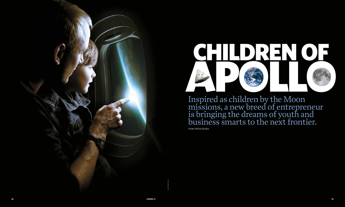jay coneyl/spl





Inspired as children by the Moon missions, a new breed of entrepreneur is bringing the dreams of youth and business smarts to the next frontier.

story *Wilson da Silva*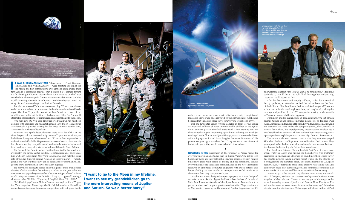

Back home, a record TV audience was watching. When transmission ended 17 minutes later, an announcer broke the reverie to breathlessly report that Juan Trippe, the founder of Pan American — one of the world's largest airlines at the time — had announced that Pan Am would start taking reservations for commercial passenger flights to the Moon.

The next day, *The New York Times* reported that Pan Am had been deluged with inquiries and had established a First Moon Flights Club — effectively, a glorified waiting list for space tourists. Within days, Trans-World Airlines followed suit.

It wasn't just Apollo fever, although there was a lot of that at the time. People took the news seriously because Trippe was a visionary – he believed flying was to be enjoyed and did more than anyone else to make air travel affordable. He pioneered economy 'tourist class' seats in his planes, angering competitors and leading to Pan Am being banned from landing at many airports — including all those in Great Britain.

So, instead, he flew to other destinations, traffic boomed and, eventually, the airline cartel yielded. He introduced cut-price fares, like a US\$275 ticket from New York to London, about half the going rate of the day (but still around A\$2,260 in today's money — which, given a one-way trip these days can be purchased for less than A\$400, goes to show how much air travel has fallen in price).

He convinced Boeing to design and build planes more than double the size of what was then the industry standard — the 707. What we now know as 747 Jumbo Jets were built because Trippe believed volume would bring costs down. "If you build it, I'll buy it," Trippe told Boeing's chief executive, Bill Allen. "If you buy it," replied Allen, "I'll build it."

"Apollo was never designed to open up space  $-$  it was designed to make us look like the biggest, baddest kid on the block," thundered Rick Tumlinson, co-founder of the Space Frontier Foundation, to a packed audience of computer professionals at a San Diego conference in May 2006. "I grew up on the dream of Apollo, flipping on the TV

"My kind of guys," wrote Richard Branson in a 1998 profile of Trippe for *Time* magazine. These days the British billionaire is himself an airline tycoon, tweaking the nose of competitors with cut-price flights

**"I want to go to the Moon in my lifetime. I want to see my grandchildren go to the more interesting moons of Jupiter and Saturn. So we'd better hurry!"**





*Earthrise*: the iconic photograph of our home planet as seen by the Apollo 8 astronauts.

nasa

and eyebrow-raising on-board services like bars, beauty therapists and massages. He too was once captured by the excitement of Apollo and believed that the age of space travel for everyone would soon arrive.

> "I want to go to the Moon in my lifetime," Burt Rutan, a maverick aircraft designer, told another conference of space enthusiasts in Los Angeles in May this year. "I want to see my grandchildren go to the more interesting moons of Jupiter and Saturn. Now, I'm  $63 -$  I've got another good 20 years in me. So we'd better hurry up!" Rutan has already fired the starting gun. With a reported US\$20 million of Paul  $\rightarrow$

But the futuristic vision Trippe dangled in front of the young Branson and millions of other impressionable children of the 1960s didn't come to pass as they had anticipated. There were no Pan Am shuttles rocketing up to spinning space hotels orbiting the Earth (as envisaged in the film *2001: A Space Odyssey*), no vacations on the Moon with shiny spacesuits and lunar buggies. So, when Branson and his generation grew up, it was clear that, if they wanted to see a future of holidays in space, they would have to build it themselves.

## $+ + +$

**NOWHERE IS THE** excitement at the prospect of 'space travel for everyone' more palpable today than in Silicon Valley. The 1980s tech boom and the 1990s Internet bubble spawned scores of freshly-minted billionaire geeks with stacks of money and big ambitions. Behind every billionaire are thousands of millionaires on the rise, themselves followed by ambitious computer engineers with stock options and hopes of riding the next tech boom to stupendous wealth. And a lot of them want their very own piece of space.

and watching Captain Kirk [of *Star Trek*]," he reminisced. " I felt if he could do it, I could do it. You roll all of this together and you say, 'Wow — I could be part of this!'"

After his boisterous and lengthy address, trailed by a round of hearty applause, an attendee reached the microphone on the floor of the ballroom. "Mr Tumlinson, I salute you! And, we get it! There are a thousand scientists and engineers here, and they're all pushing the envelope and pushing electrons! Thank you for sharing the dream with us!" Another round of affirming applause.

Tumlinson and his audience are in good company. The list of tech alumni turned space junkies includes Microsoft co-founder Paul Allen, Amazon.com founder Jeff Bezos, PayPal founder Elon Musk, and the creator of the *Doom* and *Quake* computer games, John Carmack, to name a few. Others, like motel property tycoon Robert Bigelow, see a new beachhead for business. All have sunk millions into creating startup companies to exploit space as the next high frontier of commerce.

The common element between them is that they were starry-eyed kids when the Moon landings were beamed live into their homes. They grew up with *Star Trek* on television and *2001* in the cinemas. To them, Apollo was the beginning of a future they would own.

But the dream faltered. No one has left Earth's orbit since 1972, when *Watership Down* was hitting the bookshelves, *The Godfather* premiered in cinemas and Elvis was on tour. Since then, 'space travel' has mostly involved taking glorified rocket trucks like the shuttle for a swing around the planetary block. The once adventurous U.S. space agency NASA — formed to prove that a creative, risk-taking capitalist democracy could beat lumbering socialist command economies like Russia and China — has itself became a monolithic bureaucracy.



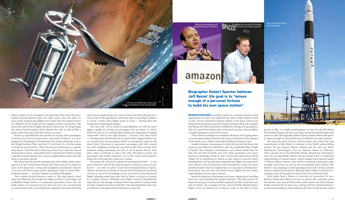Allen's money, he has managed to do what only three other big state->> funded national agencies have ever done: send a man into space. In 2004, three manned spaceflights were made from the Mojave Desert of California by his small aircraft company, Scaled Composites. The spacecraft used in these flights featured a radical new tilt-wing design that Rutan had developed, which allowed the craft to take off like a plane, rocket into space and then land on a runway.

Known as *SpaceShipOne* and capable of carrying three passengers, it became the first non-government spacecraft in history. It is now displayed in Washington's Smithsonian Air & Space Museum next to the Wright brothers' *Flyer I* and the U.S. Air Force's *X-1*, the first plane to break the sound barrier. That's because its achievement is equally stupendous. Until that day in June 2004, there were only two ways of returning from space: using either heavy titanium heat shields to keep a capsule from burning up on re-entry, or lightweight ceramic tiles like those on the space shuttle.

But Rutan had discovered something the multi-billion dollar space agencies of the United States, Russia and China had not in nearly 50 years of the space race: a cheap and completely aerodynamic solution to re-entry. He did it using a plastic spaceplane made of carbon-fibrereinforced plastic — a kind of souped-up surfboard fibreglass.

This is where Richard Branson comes in. The long-haired school drop-out billionaire has bought the rights to Rutan's technology and established Virgin Galactic, a commercial spaceliner service that can make anyone an astronaut for less than the price of a second-hand 14-metre motor yacht. According to the company, at the time of writing

The spacecraft will not be capable of reaching Earth orbit  $-$  it can only travel one-tenth of the speed needed to sustain an orbit (27,400  $km/h$ ) — nor will it be able to reach the International Space Station, which is located at an altitude of 360 km. But both Branson and Rutan are keen to see if the technology can be stretched to intercontinental flights, allowing travel from New York to Tokyo or Sydney to London in a couple of hours. Although such flights would be prohibitively expensive for the average consumer, there may well be a niche market of super-charged executives with little time and somewhere else to be, or celebrities and supermodels looking for an ego trip.

# amazon

some 38,000 people from 126 countries have put down deposits for a seat on one of the spaceliners, with more than 100 paying in advance to secure a ticket when flights begin in 2008 — among them five Australians (including the author).

The new craft will be based on *SpaceShipOne* but will be much bigger, capable of carrying six passengers and two pilots. It will be lifted into the air by a motherplane holding the spaceplane strapped underneath. Once at the right altitude — around 17 km above Earth — the spaceplane will detach, the on-board rocket engine will fire and, 90 seconds later, the spaceplane will be in zero gravity some 120 km above Earth. Wearing no spacesuits, passengers will drift around the cabin weightless, seeing the curvature of the Earth outside their windows; doing something very few in all of human history have done. After 14 minutes in space, the craft will begin re-entry, and passengers will briefly experience up to five times normal gravity before the craft lands like a plane on a runway.

Amazon.com billionaire and ace entrepreneur Jeff Bezos



**BRANSON HAD BEEN** scouting to invest in a commercial space travel opportunity for years and registered the name 'Virgin Galactic' back in 1991. He has committed US\$250 million to the space venture and ordered five spaceplanes and two airborne launchers from the company that Rutan and Allen have jointly established to design the spaceplanes. The U.S. state of New Mexico has committed a further US\$225 million to build a spaceport north of Las Cruces.

"We're about to embark on a wonderful adventure. We're going where no one has gone before," Branson told a press conference in New Mexico in December 2005. "There's no model to follow, nothing to copy."

Another Internet entrepreneur to throw his hat into the ring is the Amazon.com billionaire Jeff Bezos, who has established Blue Origin in Seattle. The company is developing a sub-orbital vehicle that can take off and land vertically and carry three passengers into space, based on technology similar to that used for the experimental *Delta Clipper DC-X*, abandoned by NASA in 1996. Bezos is secretive about developments, but has said that unmanned test flights are expected in 2007. Bezos is also coy about his cash contribution to date, but there have been reports that his company has a 20-year plan to develop near-Earth space, not just with sub-orbital tourist flights but also hotels, cargo haulage and even space colonies.

Bezos has long had a fascination with space, dreaming of travelling there ever since watching the Apollo missions. "The only reason I'm interested in space is because NASA inspired me when I was five years old," he admits. As a teenager, he won a trip to NASA's Marshall Space Flight Centre in Alabama by writing an essay on the effect of zero

gravity on flies. As a high school graduate in 1982, he told *The Miami Herald* that he hoped one day to put space hotels, amusement parks and yachts in orbit. His biographer Robert Spector believes Bezos' life goal is to "amass enough of a personal fortune to build his own space station".

One big-time space investor who has been open about his cash commitment is Elon Musk, co-founder of the PayPal online billing system. He has poured US\$100 million into his start-up, Space Exploration Technologies Corp (or SpaceX). Based in California, with a launch site in the Marshall Islands, SpaceX has developed a new class of expendable rockets and has already sold 11 commercial cargo launches to various clients. And in August 2006, SpaceX landed a US\$278 million contract from NASA to develop a prototype cargo resupply vessel that can service the International Space Station. But Musk is also planning to build passenger spacecraft and has entered America's Space Prize, which is offering US\$50 million to the first U.S. company to put five people into Earth orbit twice within 60 days.

Such prizes have a history of spurring on innovation. In 1913, Britain's *Daily Mail* offered £10,000 to anyone who could fly across the Atlantic non-stop. British aviators John Alcock and Arthur Brown finally achieved this in June 1919, setting off from Newfoundland in Canada and landing in a bog in Ireland a day later. It took another seven >>

**Biographer Robert Spector believes Jeff Bezos' life goal is to "amass enough of a personal fortune to build his own space station".**





henny ray abrams/afp